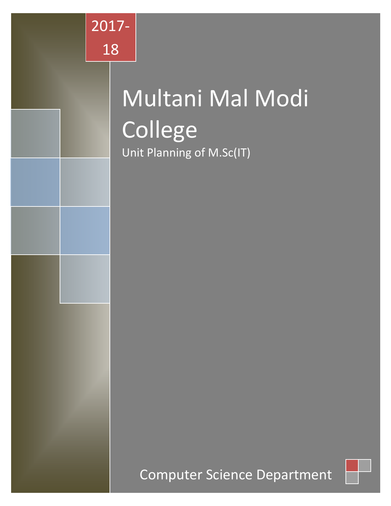

# Multani Mal Modi College Unit Planning of M.Sc(IT)

# Computer Science Department

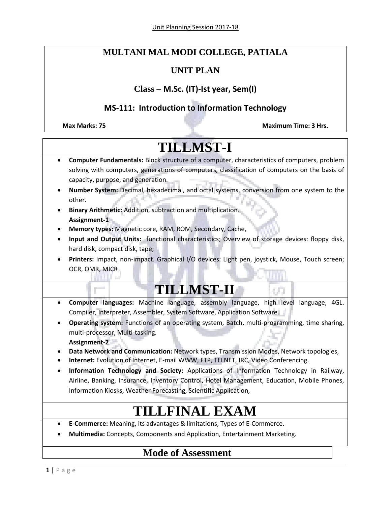# **MULTANI MAL MODI COLLEGE, PATIALA**

## **UNIT PLAN**

## **Class – M.Sc. (IT)-Ist year, Sem(I)**

# **MS-111: Introduction to Information Technology**

**Max Marks: 75 Maximum Time: 3 Hrs.**

# **TILLMST-I Computer Fundamentals:** Block structure of a computer, characteristics of computers, problem solving with computers, generations of computers, classification of computers on the basis of capacity, purpose, and generation. **Number System:** Decimal, hexadecimal, and octal systems, conversion from one system to the other. **Binary Arithmetic:** Addition, subtraction and multiplication. **Assignment-1 Memory types:** Magnetic core, RAM, ROM, Secondary, Cache, **Input and Output Units:** functional characteristics; Overview of storage devices: floppy disk, hard disk, compact disk, tape; **Printers:** Impact, non-impact. Graphical I/O devices: Light pen, joystick, Mouse, Touch screen; OCR, OMR, MICR **TILLMST-II Computer languages:** Machine language, assembly language, high level language, 4GL. Compiler, Interpreter, Assembler, System Software, Application Software. **Operating system:** Functions of an operating system, Batch, multi-programming, time sharing, multi-processor, Multi-tasking. **Assignment-2 Data Network and Communication:** Network types, Transmission Modes, Network topologies, **Internet:** Evolution of Internet, E-mail WWW, FTP, TELNET, IRC, Video Conferencing. **Information Technology and Society:** Applications of Information Technology in Railway, Airline, Banking, Insurance, Inventory Control, Hotel Management, Education, Mobile Phones, Information Kiosks, Weather Forecasting, Scientific Application, **TILLFINAL EXAM E-Commerce:** Meaning, its advantages & limitations, Types of E-Commerce. **Multimedia:** Concepts, Components and Application, Entertainment Marketing.

# **Mode of Assessment**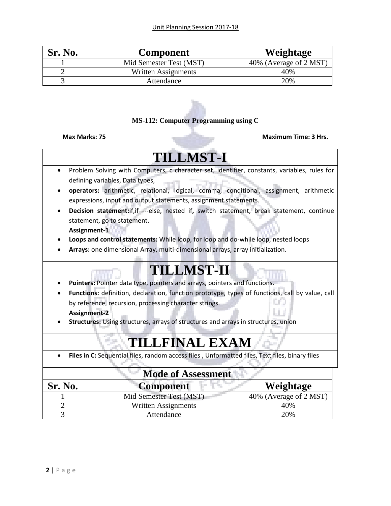| Sr. No. | <b>Component</b>        | Weightage              |
|---------|-------------------------|------------------------|
|         | Mid Semester Test (MST) | 40% (Average of 2 MST) |
|         | Written Assignments     | 40%                    |
|         | Attendance              | 20%                    |

### **MS-112: Computer Programming using C**

### **Max Marks: 75 Maximum Time: 3 Hrs.**

# **TILLMST-I**

- Problem Solving with Computers, c character set, identifier, constants, variables, rules for defining variables, Data types, a Timer
- **operators:** arithmetic, relational, logical, comma, conditional, assignment, arithmetic expressions, input and output statements, assignment statements.
- **Decision statement:**if,if ---else, nested if**,** switch statement, break statement, continue statement, go to statement. **Assignment-1**
- **Loops and control statements:** While loop, for loop and do-while loop, nested loops
- **Arrays:** one dimensional Array, multi-dimensional arrays, array initialization.

# **TILLMST-II**

- **Pointers:** Pointer data type, pointers and arrays, pointers and functions.
- **Functions:** definition, declaration, function prototype, types of functions, call by value, call by reference, recursion, processing character strings. **Assignment-2**
- **Structures:** Using structures, arrays of structures and arrays in structures, union

# **TILLFINAL EXAM**

**Files in C:** Sequential files, random access files , Unformatted files, Text files, binary files

| <b>Mode of Assessment</b> |                         |                                      |  |
|---------------------------|-------------------------|--------------------------------------|--|
| Sr. No.                   | <b>Component</b>        | Weightage                            |  |
|                           | Mid Semester Test (MST) | $\overline{40\%}$ (Average of 2 MST) |  |
|                           | Written Assignments     | 40%                                  |  |
|                           | Attendance              | 20%                                  |  |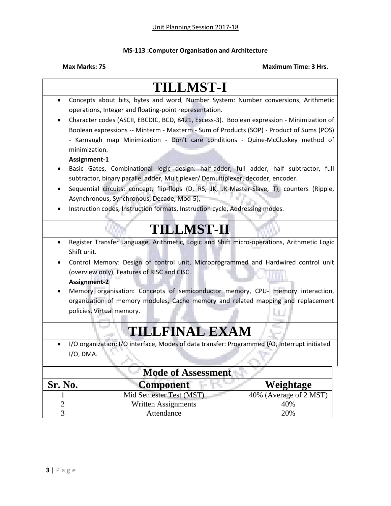## **MS-113 :Computer Organisation and Architecture**

|                           | <b>TILLMST-I</b>                                                                             |                           |  |
|---------------------------|----------------------------------------------------------------------------------------------|---------------------------|--|
| $\bullet$                 | Concepts about bits, bytes and word, Number System: Number conversions, Arithmetic           |                           |  |
|                           | operations, Integer and floating-point representation.                                       |                           |  |
|                           | Character codes (ASCII, EBCDIC, BCD, 8421, Excess-3). Boolean expression - Minimization of   |                           |  |
|                           | Boolean expressions -- Minterm - Maxterm - Sum of Products (SOP) - Product of Sums (POS)     |                           |  |
|                           | - Karnaugh map Minimization - Don't care conditions - Quine-McCluskey method of              |                           |  |
|                           | minimization.                                                                                |                           |  |
|                           | Assignment-1                                                                                 |                           |  |
|                           | Basic Gates, Combinational logic design: half-adder, full adder, half subtractor, full       |                           |  |
|                           | subtractor, binary parallel adder, Multiplexer/ Demultiplexer, decoder, encoder.             |                           |  |
|                           | Sequential circuits: concept, flip-flops (D, RS, JK, JK-Master-Slave, T), counters (Ripple,  |                           |  |
|                           | Asynchronous, Synchronous, Decade, Mod-5),                                                   |                           |  |
|                           | Instruction codes, Instruction formats, Instruction cycle, Addressing modes.                 |                           |  |
|                           |                                                                                              |                           |  |
|                           | <b>TILLMST-II</b>                                                                            |                           |  |
| $\bullet$                 | Register Transfer Language, Arithmetic, Logic and Shift micro-operations, Arithmetic Logic   |                           |  |
|                           | Shift unit.                                                                                  |                           |  |
|                           | Control Memory: Design of control unit, Microprogrammed and Hardwired control unit           |                           |  |
|                           | (overview only), Features of RISC and CISC.                                                  |                           |  |
|                           | <b>Assignment-2</b>                                                                          |                           |  |
|                           | Memory organisation: Concepts of semiconductor memory, CPU- memory interaction,              |                           |  |
|                           | organization of memory modules, Cache memory and related mapping and replacement             |                           |  |
|                           | policies, Virtual memory.                                                                    |                           |  |
|                           |                                                                                              |                           |  |
|                           | <b>TILLFINAL EXAM</b>                                                                        |                           |  |
|                           | I/O organization: I/O interface, Modes of data transfer: Programmed I/O, Interrupt initiated |                           |  |
|                           | $I/O$ , DMA.                                                                                 |                           |  |
| <b>Mode of Assessment</b> |                                                                                              |                           |  |
| Sr. No.                   | <b>Component</b>                                                                             | Weightage                 |  |
|                           | Mid Semester Test (MST)                                                                      | (Average of 2 MST)<br>40% |  |
| $\overline{2}$            | <b>Written Assignments</b>                                                                   | 40%                       |  |
| $\overline{3}$            | Attendance                                                                                   | 20%                       |  |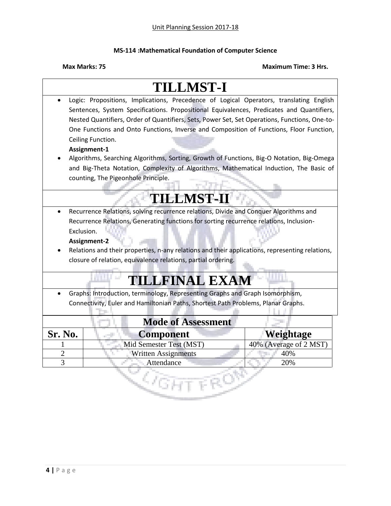### **MS-114 :Mathematical Foundation of Computer Science**

|                           | <b>TILLMST-I</b>                                                                                |                        |
|---------------------------|-------------------------------------------------------------------------------------------------|------------------------|
|                           | Logic: Propositions, Implications, Precedence of Logical Operators, translating English         |                        |
|                           | Sentences, System Specifications. Propositional Equivalences, Predicates and Quantifiers,       |                        |
|                           | Nested Quantifiers, Order of Quantifiers, Sets, Power Set, Set Operations, Functions, One-to-   |                        |
|                           | One Functions and Onto Functions, Inverse and Composition of Functions, Floor Function,         |                        |
|                           | Ceiling Function.                                                                               |                        |
|                           | Assignment-1                                                                                    |                        |
|                           | Algorithms, Searching Algorithms, Sorting, Growth of Functions, Big-O Notation, Big-Omega       |                        |
|                           | and Big-Theta Notation, Complexity of Algorithms, Mathematical Induction, The Basic of          |                        |
|                           | counting, The Pigeonhole Principle.                                                             |                        |
|                           |                                                                                                 |                        |
|                           | <b>TILLMST-II</b>                                                                               |                        |
|                           | Recurrence Relations, solving recurrence relations, Divide and Conquer Algorithms and           |                        |
|                           | Recurrence Relations, Generating functions for sorting recurrence relations, Inclusion-         |                        |
|                           | Exclusion.                                                                                      |                        |
|                           | Assignment-2                                                                                    |                        |
|                           | Relations and their properties, n-any relations and their applications, representing relations, |                        |
|                           | closure of relation, equivalence relations, partial ordering.                                   |                        |
|                           |                                                                                                 |                        |
|                           | <b>TILLFINAL EXAM</b>                                                                           |                        |
|                           | Graphs: Introduction, terminology, Representing Graphs and Graph Isomorphism,                   |                        |
|                           | Connectivity, Euler and Hamiltonian Paths, Shortest Path Problems, Planar Graphs.               |                        |
|                           |                                                                                                 |                        |
| <b>Mode of Assessment</b> |                                                                                                 |                        |
| Sr. No.                   | <b>Component</b>                                                                                | Weightage              |
|                           | Mid Semester Test (MST)                                                                         | 40% (Average of 2 MST) |
| $\overline{2}$            | <b>Written Assignments</b>                                                                      | 40%                    |
| 3                         | Attendance                                                                                      | 20%                    |
|                           |                                                                                                 |                        |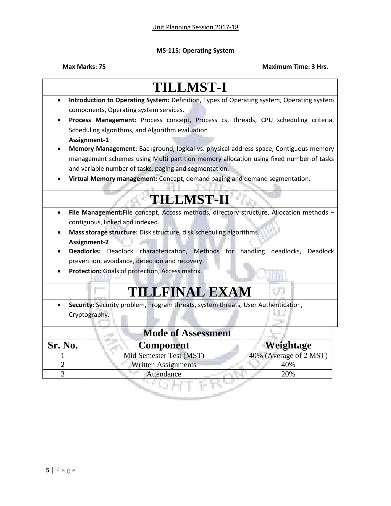### **MS-115: Operating System**

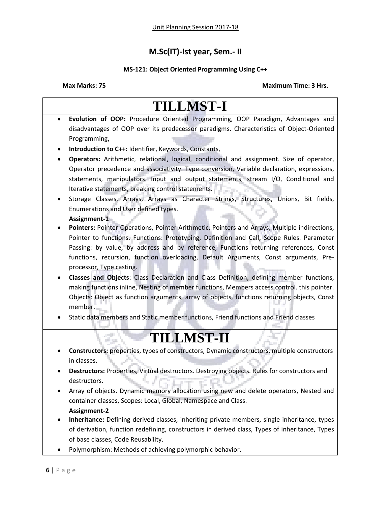# **M.Sc(IT)-Ist year, Sem.- II**

## **MS-121: Object Oriented Programming Using C++**

|           | <b>TILLMST-I</b>                                                                               |
|-----------|------------------------------------------------------------------------------------------------|
| $\bullet$ | Evolution of OOP: Procedure Oriented Programming, OOP Paradigm, Advantages and                 |
|           | disadvantages of OOP over its predecessor paradigms. Characteristics of Object-Oriented        |
|           | Programming,                                                                                   |
|           | Introduction to C++: Identifier, Keywords, Constants,                                          |
|           | Operators: Arithmetic, relational, logical, conditional and assignment. Size of operator,      |
|           | Operator precedence and associativity. Type conversion, Variable declaration, expressions,     |
|           | statements, manipulators. Input and output statements, stream I/O, Conditional and             |
|           | Iterative statements, breaking control statements.                                             |
|           | Storage Classes, Arrays, Arrays as Character Strings, Structures, Unions, Bit fields,          |
|           | Enumerations and User defined types.                                                           |
|           | Assignment-1                                                                                   |
|           | Pointers: Pointer Operations, Pointer Arithmetic, Pointers and Arrays, Multiple indirections,  |
|           | Pointer to functions. Functions: Prototyping, Definition and Call, Scope Rules. Parameter      |
|           | Passing: by value, by address and by reference, Functions returning references, Const          |
|           | functions, recursion, function overloading, Default Arguments, Const arguments, Pre-           |
|           | processor, Type casting.                                                                       |
|           | Classes and Objects: Class Declaration and Class Definition, defining member functions,        |
|           | making functions inline, Nesting of member functions, Members access control. this pointer.    |
|           | Objects: Object as function arguments, array of objects, functions returning objects, Const    |
|           | member.                                                                                        |
|           | Static data members and Static member functions, Friend functions and Friend classes           |
|           | <b>TILLMST-II</b>                                                                              |
| $\bullet$ | Constructors: properties, types of constructors, Dynamic constructors, multiple constructors   |
|           | in classes.                                                                                    |
|           | Destructors: Properties, Virtual destructors. Destroying objects. Rules for constructors and   |
|           | destructors.                                                                                   |
|           | Array of objects. Dynamic memory allocation using new and delete operators, Nested and         |
|           | container classes, Scopes: Local, Global, Namespace and Class.                                 |
|           | <b>Assignment-2</b>                                                                            |
| ٠         | Inheritance: Defining derived classes, inheriting private members, single inheritance, types   |
|           | of derivation, function redefining, constructors in derived class, Types of inheritance, Types |
|           | of base classes, Code Reusability.                                                             |
|           | Polymorphism: Methods of achieving polymorphic behavior.                                       |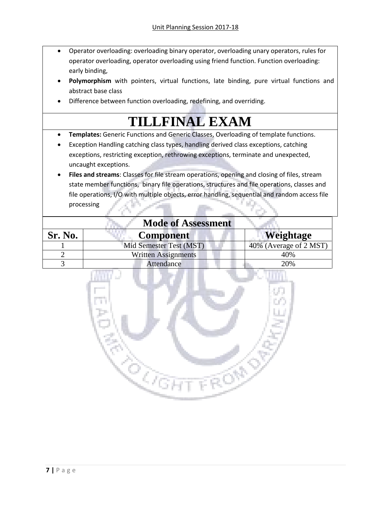- Operator overloading: overloading binary operator, overloading unary operators, rules for operator overloading, operator overloading using friend function. Function overloading: early binding,
- **Polymorphism** with pointers, virtual functions, late binding, pure virtual functions and abstract base class
- Difference between function overloading, redefining, and overriding.

# **TILLFINAL EXAM**

- **Templates:** Generic Functions and Generic Classes, Overloading of template functions.
- Exception Handling catching class types, handling derived class exceptions, catching exceptions, restricting exception, rethrowing exceptions, terminate and unexpected, uncaught exceptions.
- **Files and streams**: Classes for file stream operations, opening and closing of files, stream state member functions, binary file operations, structures and file operations, classes and file operations, I/O with multiple objects, error handling, sequential and random access file processing

| <b>Mode of Assessment</b> |                            |                        |  |
|---------------------------|----------------------------|------------------------|--|
| <b>Sr. No.</b>            | <b>Component</b>           | Weightage              |  |
|                           | Mid Semester Test (MST)    | 40% (Average of 2 MST) |  |
|                           | <b>Written Assignments</b> | 40%                    |  |
|                           | Attendance                 | 20%                    |  |

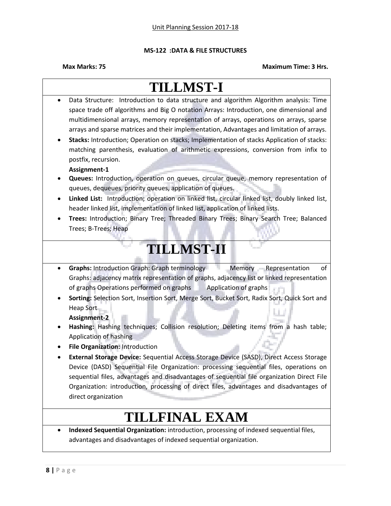### **MS-122 :DATA & FILE STRUCTURES**

### **Max Marks: 75 Maximum Time: 3 Hrs.**

# **TILLMST-I** Data Structure: Introduction to data structure and algorithm Algorithm analysis: Time space trade off algorithms and Big O notation Arrays: Introduction, one dimensional and multidimensional arrays, memory representation of arrays, operations on arrays, sparse arrays and sparse matrices and their implementation, Advantages and limitation of arrays. **Stacks:** Introduction; Operation on stacks; Implementation of stacks Application of stacks: matching parenthesis, evaluation of arithmetic expressions, conversion from infix to postfix, recursion. **Assignment-1 Queues:** Introduction, operation on queues, circular queue, memory representation of queues, dequeues, priority queues, application of queues. **Linked List:** Introduction; operation on linked list, circular linked list, doubly linked list, header linked list, implementation of linked list, application of linked lists. **Trees:** Introduction; Binary Tree; Threaded Binary Trees; Binary Search Tree; Balanced Trees; B-Trees; Heap **TILLMST-II Graphs:** Introduction Graph: Graph terminology Memory Representation of Graphs: adjacency matrix representation of graphs, adjacency list or linked representation of graphs Operations performed on graphs Application of graphs **Sorting:** Selection Sort, Insertion Sort, Merge Sort, Bucket Sort, Radix Sort, Quick Sort and Heap Sort **Assignment-2 Hashing:** Hashing techniques; Collision resolution; Deleting items from a hash table; Application of hashing **File Organization:** Introduction **External Storage Device:** Sequential Access Storage Device (SASD), Direct Access Storage Device (DASD) Sequential File Organization: processing sequential files, operations on sequential files, advantages and disadvantages of sequential file organization Direct File Organization: introduction, processing of direct files, advantages and disadvantages of direct organization **TILLFINAL EXAM Indexed Sequential Organization:** introduction, processing of indexed sequential files, advantages and disadvantages of indexed sequential organization.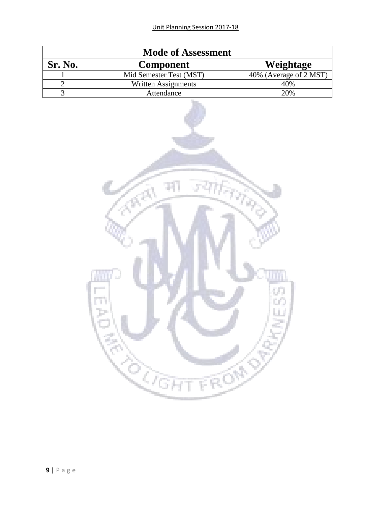| <b>Mode of Assessment</b> |                         |                        |  |
|---------------------------|-------------------------|------------------------|--|
| Sr. No.                   | <b>Component</b>        | Weightage              |  |
|                           | Mid Semester Test (MST) | 40% (Average of 2 MST) |  |
|                           | Written Assignments     | 40%                    |  |
|                           | Attendance              | 20%                    |  |

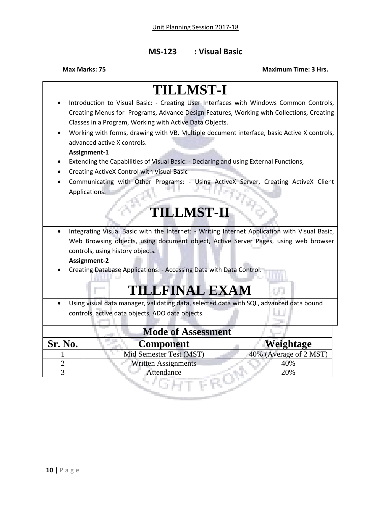# **MS-123 : Visual Basic**

| <b>TILLMST-I</b>                                                                        |                                                                                               |                        |  |
|-----------------------------------------------------------------------------------------|-----------------------------------------------------------------------------------------------|------------------------|--|
| Introduction to Visual Basic: - Creating User Interfaces with Windows Common Controls,  |                                                                                               |                        |  |
|                                                                                         | Creating Menus for Programs, Advance Design Features, Working with Collections, Creating      |                        |  |
|                                                                                         | Classes in a Program, Working with Active Data Objects.                                       |                        |  |
|                                                                                         | Working with forms, drawing with VB, Multiple document interface, basic Active X controls,    |                        |  |
|                                                                                         | advanced active X controls.                                                                   |                        |  |
|                                                                                         | Assignment-1                                                                                  |                        |  |
|                                                                                         | Extending the Capabilities of Visual Basic: - Declaring and using External Functions,         |                        |  |
|                                                                                         | Creating ActiveX Control with Visual Basic                                                    |                        |  |
|                                                                                         | Communicating with Other Programs: - Using ActiveX Server, Creating ActiveX Client            |                        |  |
|                                                                                         | Applications.                                                                                 |                        |  |
|                                                                                         |                                                                                               |                        |  |
|                                                                                         | <b>TILLMST-II</b>                                                                             |                        |  |
|                                                                                         | Integrating Visual Basic with the Internet: - Writing Internet Application with Visual Basic, |                        |  |
|                                                                                         | Web Browsing objects, using document object, Active Server Pages, using web browser           |                        |  |
|                                                                                         | controls, using history objects.                                                              |                        |  |
|                                                                                         | Assignment-2                                                                                  |                        |  |
|                                                                                         | Creating Database Applications: - Accessing Data with Data Control.                           |                        |  |
|                                                                                         |                                                                                               |                        |  |
|                                                                                         | <b>TILLFINAL EXAM</b>                                                                         |                        |  |
| Using visual data manager, validating data, selected data with SQL, advanced data bound |                                                                                               |                        |  |
|                                                                                         | controls, active data objects, ADO data objects.                                              |                        |  |
|                                                                                         |                                                                                               |                        |  |
| <b>Mode of Assessment</b>                                                               |                                                                                               |                        |  |
| Sr. No.                                                                                 | <b>Component</b>                                                                              | Weightage              |  |
|                                                                                         | Mid Semester Test (MST)                                                                       | 40% (Average of 2 MST) |  |
| $\overline{2}$                                                                          | <b>Written Assignments</b>                                                                    | 40%                    |  |
| $\overline{3}$                                                                          | Attendance                                                                                    | 20%                    |  |
|                                                                                         |                                                                                               |                        |  |
|                                                                                         |                                                                                               |                        |  |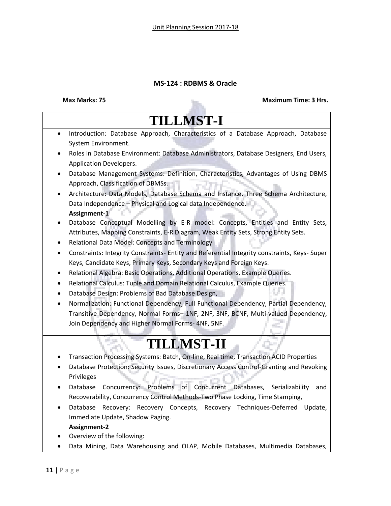### **MS-124 : RDBMS & Oracle**

### **Max Marks: 75 Maximum Time: 3 Hrs.**

# **TILLMST-I** Introduction: Database Approach, Characteristics of a Database Approach, Database System Environment. Roles in Database Environment: Database Administrators, Database Designers, End Users, Application Developers. Database Management Systems: Definition, Characteristics, Advantages of Using DBMS Approach, Classification of DBMSs. Architecture: Data Models, Database Schema and Instance, Three Schema Architecture, Data Independence – Physical and Logical data Independence. **Assignment-1** Database Conceptual Modelling by E-R model: Concepts, Entities and Entity Sets, Attributes, Mapping Constraints, E-R Diagram, Weak Entity Sets, Strong Entity Sets. Relational Data Model: Concepts and Terminology Constraints: Integrity Constraints- Entity and Referential Integrity constraints, Keys- Super Keys, Candidate Keys, Primary Keys, Secondary Keys and Foreign Keys. Relational Algebra: Basic Operations, Additional Operations, Example Queries. Relational Calculus: Tuple and Domain Relational Calculus, Example Queries. Database Design: Problems of Bad Database Design, Normalization: Functional Dependency, Full Functional Dependency, Partial Dependency, Transitive Dependency, Normal Forms– 1NF, 2NF, 3NF, BCNF, Multi-valued Dependency, Join Dependency and Higher Normal Forms- 4NF, 5NF. **TILLMST-II** Transaction Processing Systems: Batch, On-line, Real time, Transaction ACID Properties Database Protection: Security Issues, Discretionary Access Control-Granting and Revoking Privileges Database Concurrency: Problems of Concurrent Databases, Serializability and Recoverability, Concurrency Control Methods-Two Phase Locking, Time Stamping, Database Recovery: Recovery Concepts, Recovery Techniques-Deferred Update, Immediate Update, Shadow Paging. **Assignment-2** Overview of the following: Data Mining, Data Warehousing and OLAP, Mobile Databases, Multimedia Databases,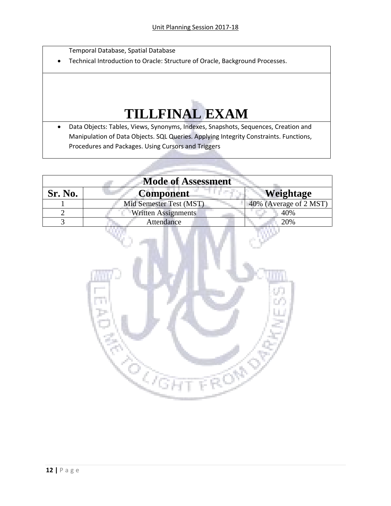Temporal Database, Spatial Database

Technical Introduction to Oracle: Structure of Oracle, Background Processes.

# **TILLFINAL EXAM**

 Data Objects: Tables, Views, Synonyms, Indexes, Snapshots, Sequences, Creation and Manipulation of Data Objects. SQL Queries. Applying Integrity Constraints. Functions, Procedures and Packages. Using Cursors and Triggers

| <b>Mode of Assessment</b> |                            |                        |  |
|---------------------------|----------------------------|------------------------|--|
| <b>Sr. No.</b>            | <b>Component</b>           | <b>Weightage</b>       |  |
|                           | Mid Semester Test (MST)    | 40% (Average of 2 MST) |  |
|                           | <b>Written Assignments</b> | 40%                    |  |
|                           | Attendance                 | 20%                    |  |

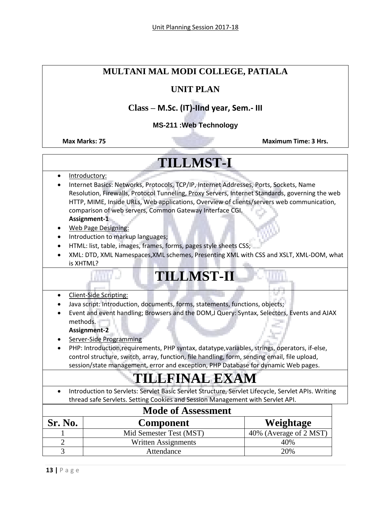# **MULTANI MAL MODI COLLEGE, PATIALA**

## **UNIT PLAN**

# **Class – M.Sc. (IT)-IInd year, Sem.- III**

### **MS-211 :Web Technology**

**Max Marks: 75 Maximum Time: 3 Hrs.** Maximum Time: 3 Hrs.

# **TILLMST-I**

- Introductory:
- Internet Basics: Networks, Protocols, TCP/IP, Internet Addresses, Ports, Sockets, Name Resolution, Firewalls, Protocol Tunneling, Proxy Servers, Internet Standards, governing the web HTTP, MIME, Inside URLs, Web applications, Overview of clients/servers web communication, comparison of web servers, Common Gateway Interface CGI.

**Assignment-1**

- Web Page Designing:
- Introduction to markup languages;
- HTML: list, table, images, frames, forms, pages style sheets CSS;
- XML: DTD, XML Namespaces,XML schemes, Presenting XML with CSS and XSLT, XML-DOM, what is XHTML?

# **TILLMST-II**

- Client-Side Scripting:
- Java script: Introduction, documents, forms, statements, functions, objects;
- Event and event handling; Browsers and the DOM,J Query: Syntax, Selectors, Events and AJAX methods.

**Assignment-2**

- Server-Side Programming
- PHP: Introduction,requirements, PHP syntax, datatype,variables, strings, operators, if-else, control structure, switch, array, function, file handling, form, sending email, file upload, session/state management, error and exception, PHP Database for dynamic Web pages.

# **TILLFINAL EXAM**

 Introduction to Servlets: Servlet Basic Servlet Structure, Servlet Lifecycle, Servlet APIs. Writing thread safe Servlets. Setting Cookies and Session Management with Servlet API.

| <b>Mode of Assessment</b> |                         |                        |  |
|---------------------------|-------------------------|------------------------|--|
| Sr. No.                   | <b>Component</b>        | Weightage              |  |
|                           | Mid Semester Test (MST) | 40% (Average of 2 MST) |  |
|                           | Written Assignments     | 40%                    |  |
|                           | Attendance              | 20%                    |  |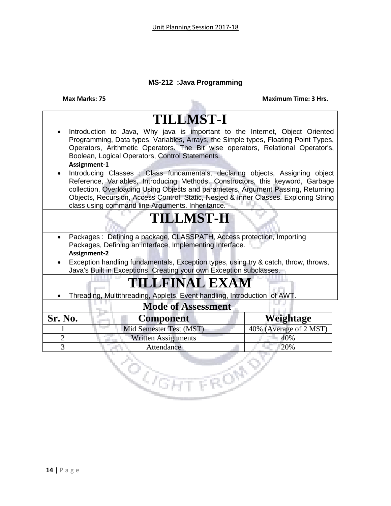## **MS-212 :Java Programming**

|                                                                                                                                                                                                                                                                                                                              | <b>Max Marks: 75</b>                                                                                                                                                                                                                                                                                                                                                                            | <b>Maximum Time: 3 Hrs.</b> |  |
|------------------------------------------------------------------------------------------------------------------------------------------------------------------------------------------------------------------------------------------------------------------------------------------------------------------------------|-------------------------------------------------------------------------------------------------------------------------------------------------------------------------------------------------------------------------------------------------------------------------------------------------------------------------------------------------------------------------------------------------|-----------------------------|--|
|                                                                                                                                                                                                                                                                                                                              | <b>TILLMST-I</b>                                                                                                                                                                                                                                                                                                                                                                                |                             |  |
| $\bullet$                                                                                                                                                                                                                                                                                                                    | Introduction to Java, Why java is important to the Internet, Object Oriented<br>Programming, Data types, Variables, Arrays, the Simple types, Floating Point Types,<br>Operators, Arithmetic Operators. The Bit wise operators, Relational Operator's,<br>Boolean, Logical Operators, Control Statements.<br>Assignment-1                                                                       |                             |  |
|                                                                                                                                                                                                                                                                                                                              | Introducing Classes: Class fundamentals, declaring objects, Assigning object<br>Reference, Variables, Introducing Methods, Constructors, this keyword, Garbage<br>collection, Overloading Using Objects and parameters, Argument Passing, Returning<br>Objects, Recursion, Access Control, Static, Nested & Inner Classes. Exploring String<br>class using command line Arguments. Inheritance. |                             |  |
|                                                                                                                                                                                                                                                                                                                              | <b>TILLMST-II</b>                                                                                                                                                                                                                                                                                                                                                                               |                             |  |
| Packages: Defining a package, CLASSPATH, Access protection, Importing<br>$\bullet$<br>Packages, Defining an interface, Implementing Interface.<br>Assignment-2<br>Exception handling fundamentals, Exception types, using try & catch, throw, throws,<br>Java's Built in Exceptions, Creating your own Exception subclasses. |                                                                                                                                                                                                                                                                                                                                                                                                 |                             |  |
|                                                                                                                                                                                                                                                                                                                              | <b>TILLFINAL EXAM</b>                                                                                                                                                                                                                                                                                                                                                                           |                             |  |
| Threading, Multithreading, Applets, Event handling, Introduction of AWT.<br>$\bullet$                                                                                                                                                                                                                                        |                                                                                                                                                                                                                                                                                                                                                                                                 |                             |  |
|                                                                                                                                                                                                                                                                                                                              | <b>Mode of Assessment</b>                                                                                                                                                                                                                                                                                                                                                                       |                             |  |
| Sr. No.                                                                                                                                                                                                                                                                                                                      | <b>Component</b>                                                                                                                                                                                                                                                                                                                                                                                | Weightage                   |  |
|                                                                                                                                                                                                                                                                                                                              | Mid Semester Test (MST)                                                                                                                                                                                                                                                                                                                                                                         | 40% (Average of 2 MST)      |  |
| $\overline{2}$                                                                                                                                                                                                                                                                                                               | <b>Written Assignments</b>                                                                                                                                                                                                                                                                                                                                                                      | 40%                         |  |
| 3<br>Attendance<br>20%                                                                                                                                                                                                                                                                                                       |                                                                                                                                                                                                                                                                                                                                                                                                 |                             |  |
| ্থ <sub>নৈৱা</sub>                                                                                                                                                                                                                                                                                                           |                                                                                                                                                                                                                                                                                                                                                                                                 |                             |  |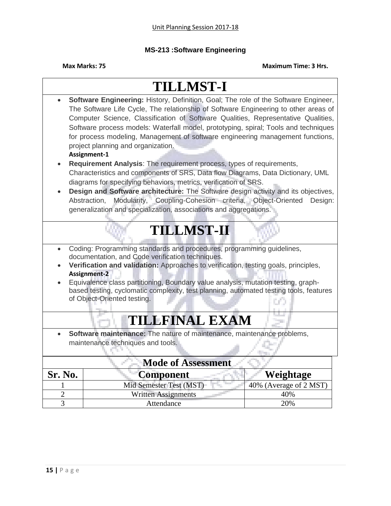### **MS-213 :Software Engineering**

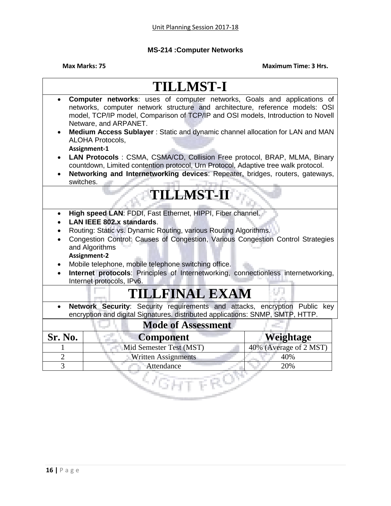## **MS-214 :Computer Networks**

| <b>TILLMST-I</b>                                                                                                                                                                                                                                                                                                                                                                                                                                            |                                                                                                                                                                                                                                                                      |                        |
|-------------------------------------------------------------------------------------------------------------------------------------------------------------------------------------------------------------------------------------------------------------------------------------------------------------------------------------------------------------------------------------------------------------------------------------------------------------|----------------------------------------------------------------------------------------------------------------------------------------------------------------------------------------------------------------------------------------------------------------------|------------------------|
|                                                                                                                                                                                                                                                                                                                                                                                                                                                             | Computer networks: uses of computer networks, Goals and applications of<br>networks, computer network structure and architecture, reference models: OSI<br>model, TCP/IP model, Comparison of TCP/IP and OSI models, Introduction to Novell<br>Netware, and ARPANET. |                        |
|                                                                                                                                                                                                                                                                                                                                                                                                                                                             | Medium Access Sublayer: Static and dynamic channel allocation for LAN and MAN<br><b>ALOHA Protocols,</b><br>Assignment-1                                                                                                                                             |                        |
| switches.                                                                                                                                                                                                                                                                                                                                                                                                                                                   | LAN Protocols: CSMA, CSMA/CD, Collision Free protocol, BRAP, MLMA, Binary<br>countdown, Limited contention protocol, Urn Protocol, Adaptive tree walk protocol.<br>Networking and Internetworking devices: Repeater, bridges, routers, gateways,                     |                        |
|                                                                                                                                                                                                                                                                                                                                                                                                                                                             | <b>TILLMST-II</b>                                                                                                                                                                                                                                                    |                        |
| High speed LAN: FDDI, Fast Ethernet, HIPPI, Fiber channel.<br>LAN IEEE 802.x standards.<br>Routing: Static vs. Dynamic Routing, various Routing Algorithms.<br>Congestion Control: Causes of Congestion, Various Congestion Control Strategies<br>and Algorithms<br>Assignment-2<br>Mobile telephone, mobile telephone switching office.<br>Internet protocols: Principles of Internetworking, connectionless internetworking,<br>Internet protocols, IPv6. |                                                                                                                                                                                                                                                                      |                        |
| <b>TILLFINAL EXAM</b>                                                                                                                                                                                                                                                                                                                                                                                                                                       |                                                                                                                                                                                                                                                                      |                        |
| Network Security: Security requirements and attacks, encryption Public key<br>encryption and digital Signatures. distributed applications: SNMP, SMTP, HTTP.                                                                                                                                                                                                                                                                                                |                                                                                                                                                                                                                                                                      |                        |
|                                                                                                                                                                                                                                                                                                                                                                                                                                                             | <b>Mode of Assessment</b>                                                                                                                                                                                                                                            |                        |
| Sr. No.                                                                                                                                                                                                                                                                                                                                                                                                                                                     | <b>Component</b>                                                                                                                                                                                                                                                     | Weightage              |
|                                                                                                                                                                                                                                                                                                                                                                                                                                                             | Mid Semester Test (MST)                                                                                                                                                                                                                                              | 40% (Average of 2 MST) |
| $\overline{2}$                                                                                                                                                                                                                                                                                                                                                                                                                                              | <b>Written Assignments</b>                                                                                                                                                                                                                                           | 40%                    |
| 3                                                                                                                                                                                                                                                                                                                                                                                                                                                           | Attendance                                                                                                                                                                                                                                                           | 20%                    |
|                                                                                                                                                                                                                                                                                                                                                                                                                                                             |                                                                                                                                                                                                                                                                      |                        |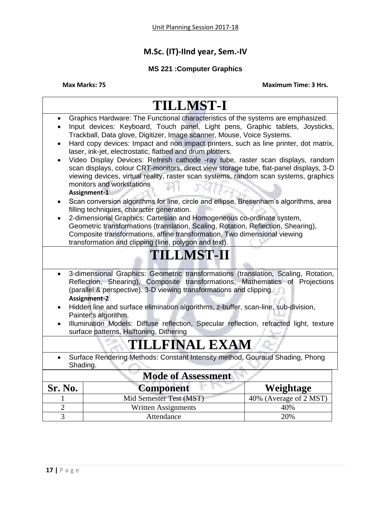# **M.Sc. (IT)-IInd year, Sem.-IV**

## **MS 221 :Computer Graphics**

|                                                                                                                                                                                                                                                                                                                                                                                                                                                                                                                                                                                                                                                                                                                                                                                                                                                                                                                                                                                                                                                                                                                                                             | <b>TILLMST-I</b>           |                        |  |  |  |
|-------------------------------------------------------------------------------------------------------------------------------------------------------------------------------------------------------------------------------------------------------------------------------------------------------------------------------------------------------------------------------------------------------------------------------------------------------------------------------------------------------------------------------------------------------------------------------------------------------------------------------------------------------------------------------------------------------------------------------------------------------------------------------------------------------------------------------------------------------------------------------------------------------------------------------------------------------------------------------------------------------------------------------------------------------------------------------------------------------------------------------------------------------------|----------------------------|------------------------|--|--|--|
| Graphics Hardware: The Functional characteristics of the systems are emphasized.<br>Input devices: Keyboard, Touch panel, Light pens, Graphic tablets, Joysticks,<br>Trackball, Data glove, Digitizer, Image scanner, Mouse, Voice Systems.<br>Hard copy devices: Impact and non impact printers, such as line printer, dot matrix,<br>laser, ink-jet, electrostatic, flatbed and drum plotters.<br>Video Display Devices: Refresh cathode -ray tube, raster scan displays, random<br>scan displays, colour CRT-monitors, direct view storage tube, flat-panel displays, 3-D<br>viewing devices, virtual reality, raster scan systems, random scan systems, graphics<br>monitors and workstations<br>Assignment-1<br>Scan conversion algorithms for line, circle and ellipse, Bresenham's algorithms, area<br>filling techniques, character generation.<br>2-dimensional Graphics: Cartesian and Homogeneous co-ordinate system,<br>Geometric transformations (translation, Scaling, Rotation, Reflection, Shearing),<br>Composite transformations, affine transformation, Two dimensional viewing<br>transformation and clipping (line, polygon and text). |                            |                        |  |  |  |
| <b>TILLMST-II</b>                                                                                                                                                                                                                                                                                                                                                                                                                                                                                                                                                                                                                                                                                                                                                                                                                                                                                                                                                                                                                                                                                                                                           |                            |                        |  |  |  |
| 3-dimensional Graphics: Geometric transformations (translation, Scaling, Rotation,<br>$\bullet$<br>Reflection, Shearing), Composite transformations, Mathematics of Projections<br>(parallel & perspective). 3-D viewing transformations and clipping.<br>Assignment-2<br>Hidden line and surface elimination algorithms, z-buffer, scan-line, sub-division,<br>Painter's algorithm.<br>Illumination Models: Diffuse reflection, Specular reflection, refracted light, texture                                                                                                                                                                                                                                                                                                                                                                                                                                                                                                                                                                                                                                                                              |                            |                        |  |  |  |
| surface patterns, Halftoning, Dithering<br><b>TILLFINAL EXAM</b>                                                                                                                                                                                                                                                                                                                                                                                                                                                                                                                                                                                                                                                                                                                                                                                                                                                                                                                                                                                                                                                                                            |                            |                        |  |  |  |
| Surface Rendering Methods: Constant Intensity method, Gouraud Shading, Phong<br>Shading.                                                                                                                                                                                                                                                                                                                                                                                                                                                                                                                                                                                                                                                                                                                                                                                                                                                                                                                                                                                                                                                                    |                            |                        |  |  |  |
| <b>Mode of Assessment</b>                                                                                                                                                                                                                                                                                                                                                                                                                                                                                                                                                                                                                                                                                                                                                                                                                                                                                                                                                                                                                                                                                                                                   |                            |                        |  |  |  |
| Sr. No.                                                                                                                                                                                                                                                                                                                                                                                                                                                                                                                                                                                                                                                                                                                                                                                                                                                                                                                                                                                                                                                                                                                                                     | <b>Component</b>           | Weightage              |  |  |  |
|                                                                                                                                                                                                                                                                                                                                                                                                                                                                                                                                                                                                                                                                                                                                                                                                                                                                                                                                                                                                                                                                                                                                                             | Mid Semester Test (MST)    | 40% (Average of 2 MST) |  |  |  |
| $\overline{2}$                                                                                                                                                                                                                                                                                                                                                                                                                                                                                                                                                                                                                                                                                                                                                                                                                                                                                                                                                                                                                                                                                                                                              | <b>Written Assignments</b> | 40%                    |  |  |  |
| $\overline{3}$                                                                                                                                                                                                                                                                                                                                                                                                                                                                                                                                                                                                                                                                                                                                                                                                                                                                                                                                                                                                                                                                                                                                              | Attendance                 | 20%                    |  |  |  |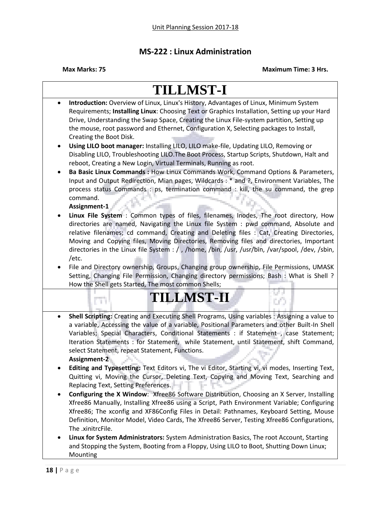### **MS-222 : Linux Administration**

**Max Marks: 75 Maximum Time: 3 Hrs.**

### **TILLMST-I Introduction:** Overview of Linux, Linux's History, Advantages of Linux, Minimum System Requirements; **Installing Linux**: Choosing Text or Graphics Installation, Setting up your Hard Drive, Understanding the Swap Space, Creating the Linux File-system partition, Setting up the mouse, root password and Ethernet, Configuration X, Selecting packages to Install, Creating the Boot Disk. **Using LILO boot manager:** Installing LILO, LILO make-file, Updating LILO, Removing or Disabling LILO, Troubleshooting LILO.The Boot Process, Startup Scripts, Shutdown, Halt and reboot, Creating a New Login, Virtual Terminals, Running as root. **Ba Basic Linux Commands :** How Linux Commands Work, Command Options & Parameters, Input and Output Redirection, Mian pages, Wildcards : \* and ?, Environment Variables, The process status Commands : ps, termination command : kill, the su command, the grep command. **Assignment-1 Linux File System** : Common types of files, filenames, Inodes, The root directory, How directories are named, Navigating the Linux file System : pwd command, Absolute and relative filenames; cd command, Creating and Deleting files : Cat, Creating Directories, Moving and Copying files, Moving Directories, Removing files and directories, Important directories in the Linux file System : / , /home, /bin, /usr, /usr/bin, /var/spool, /dev, /sbin, /etc. File and Directory ownership, Groups, Changing group ownership, File Permissions, UMASK Setting, Changing File Permission, Changing directory permissions; Bash : What is Shell ? How the Shell gets Started, The most common Shells; **TILLMST-II TH Shell Scripting:** Creating and Executing Shell Programs, Using variables : Assigning a value to a variable, Accessing the value of a variable, Positional Parameters and other Built-In Shell Variables; Special Characters, Conditional Statements : if Statement, case Statement; Iteration Statements : for Statement, while Statement, until Statement, shift Command, select Statement, repeat Statement, Functions. **Assignment-2 Editing and Typesetting:** Text Editors vi, The vi Editor, Starting vi, vi modes, Inserting Text, Quitting vi, Moving the Cursor, Deleting Text, Copying and Moving Text, Searching and Replacing Text, Setting Preferences. **Configuring the X Window**: Xfree86 Software Distribution, Choosing an X Server, Installing Xfree86 Manually, Installing Xfree86 using a Script, Path Environment Variable; Configuring Xfree86; The xconfig and XF86Config Files in Detail: Pathnames, Keyboard Setting, Mouse Definition, Monitor Model, Video Cards, The Xfree86 Server, Testing Xfree86 Configurations, The .xinitrcFile. **Linux for System Administrators:** System Administration Basics, The root Account, Starting and Stopping the System, Booting from a Floppy, Using LILO to Boot, Shutting Down Linux; Mounting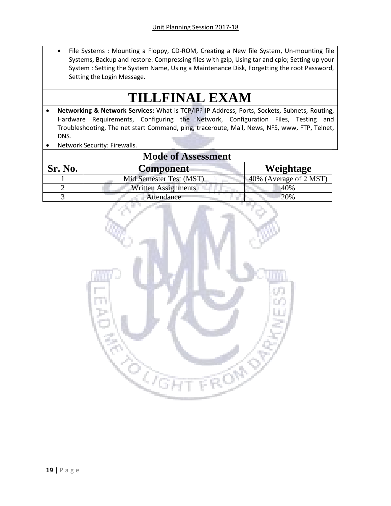• File Systems : Mounting a Floppy, CD-ROM, Creating a New file System, Un-mounting file Systems, Backup and restore: Compressing files with gzip, Using tar and cpio; Setting up your System : Setting the System Name, Using a Maintenance Disk, Forgetting the root Password, Setting the Login Message.

# **TILLFINAL EXAM**

- **Networking & Network Services:** What is TCP/IP? IP Address, Ports, Sockets, Subnets, Routing, Hardware Requirements, Configuring the Network, Configuration Files, Testing and Troubleshooting, The net start Command, ping, traceroute, Mail, News, NFS, www, FTP, Telnet, DNS.
- Network Security: Firewalls.

| <b>Mode of Assessment</b> |                         |                           |  |  |
|---------------------------|-------------------------|---------------------------|--|--|
| Sr. No.                   | <b>Component</b>        | Weightage                 |  |  |
|                           | Mid Semester Test (MST) | $40\%$ (Average of 2 MST) |  |  |
|                           | Written Assignments     | 40%                       |  |  |
|                           | Attendance              | 20%                       |  |  |

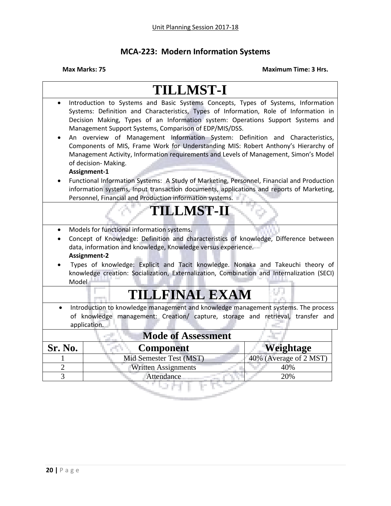# **MCA-223: Modern Information Systems**

|                                                                                                                                                                                       | <b>TILLMST-I</b>                                                                                                                                                                                                                                                                                                                                                                                                                                                                                                                                                                                                                                                                                                                                                                                                         |                        |  |  |
|---------------------------------------------------------------------------------------------------------------------------------------------------------------------------------------|--------------------------------------------------------------------------------------------------------------------------------------------------------------------------------------------------------------------------------------------------------------------------------------------------------------------------------------------------------------------------------------------------------------------------------------------------------------------------------------------------------------------------------------------------------------------------------------------------------------------------------------------------------------------------------------------------------------------------------------------------------------------------------------------------------------------------|------------------------|--|--|
|                                                                                                                                                                                       | Introduction to Systems and Basic Systems Concepts, Types of Systems, Information<br>Systems: Definition and Characteristics, Types of Information, Role of Information in<br>Decision Making, Types of an Information system: Operations Support Systems and<br>Management Support Systems, Comparison of EDP/MIS/DSS.<br>An overview of Management Information System: Definition and Characteristics,<br>Components of MIS, Frame Work for Understanding MIS: Robert Anthony's Hierarchy of<br>Management Activity, Information requirements and Levels of Management, Simon's Model<br>of decision- Making.<br>Assignment-1<br>Functional Information Systems: A Study of Marketing, Personnel, Financial and Production<br>information systems, Input transaction documents, applications and reports of Marketing, |                        |  |  |
|                                                                                                                                                                                       | Personnel, Financial and Production information systems.                                                                                                                                                                                                                                                                                                                                                                                                                                                                                                                                                                                                                                                                                                                                                                 |                        |  |  |
| <b>TILLMST-II</b>                                                                                                                                                                     |                                                                                                                                                                                                                                                                                                                                                                                                                                                                                                                                                                                                                                                                                                                                                                                                                          |                        |  |  |
| Model                                                                                                                                                                                 | Models for functional information systems.<br>Concept of Knowledge: Definition and characteristics of knowledge, Difference between<br>data, information and knowledge, Knowledge versus experience.<br>Assignment-2<br>Types of knowledge: Explicit and Tacit knowledge. Nonaka and Takeuchi theory of<br>knowledge creation: Socialization, Externalization, Combination and Internalization (SECI)                                                                                                                                                                                                                                                                                                                                                                                                                    |                        |  |  |
| <b>TILLFINAL EXAM</b>                                                                                                                                                                 |                                                                                                                                                                                                                                                                                                                                                                                                                                                                                                                                                                                                                                                                                                                                                                                                                          |                        |  |  |
| Introduction to knowledge management and knowledge management systems. The process<br>of knowledge management: Creation/ capture, storage and retrieval, transfer and<br>application. |                                                                                                                                                                                                                                                                                                                                                                                                                                                                                                                                                                                                                                                                                                                                                                                                                          |                        |  |  |
|                                                                                                                                                                                       | <b>Mode of Assessment</b>                                                                                                                                                                                                                                                                                                                                                                                                                                                                                                                                                                                                                                                                                                                                                                                                |                        |  |  |
| Sr. No.                                                                                                                                                                               | <b>Component</b>                                                                                                                                                                                                                                                                                                                                                                                                                                                                                                                                                                                                                                                                                                                                                                                                         | Weightage              |  |  |
|                                                                                                                                                                                       | Mid Semester Test (MST)                                                                                                                                                                                                                                                                                                                                                                                                                                                                                                                                                                                                                                                                                                                                                                                                  | 40% (Average of 2 MST) |  |  |
| $\overline{2}$                                                                                                                                                                        | <b>Written Assignments</b>                                                                                                                                                                                                                                                                                                                                                                                                                                                                                                                                                                                                                                                                                                                                                                                               | 40%                    |  |  |
| $\overline{3}$                                                                                                                                                                        | Attendance                                                                                                                                                                                                                                                                                                                                                                                                                                                                                                                                                                                                                                                                                                                                                                                                               | 20%                    |  |  |
|                                                                                                                                                                                       |                                                                                                                                                                                                                                                                                                                                                                                                                                                                                                                                                                                                                                                                                                                                                                                                                          |                        |  |  |